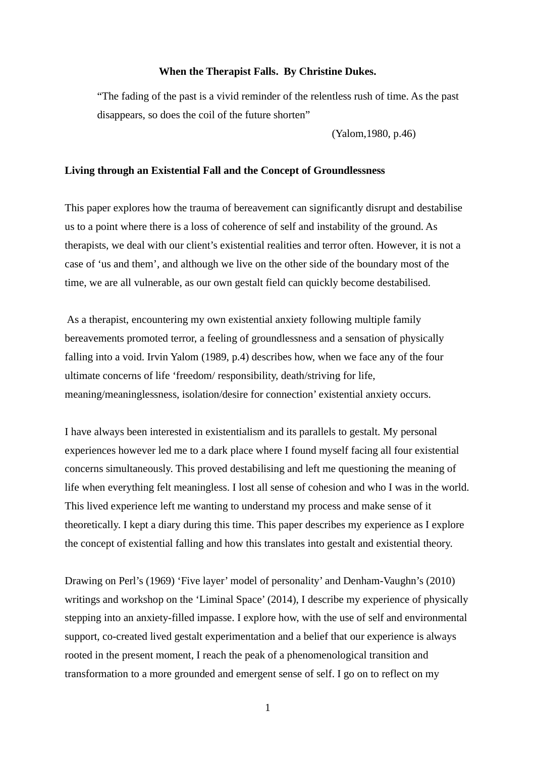### **When the Therapist Falls. By Christine Dukes.**

"The fading of the past is a vivid reminder of the relentless rush of time. As the past disappears, so does the coil of the future shorten"

(Yalom,1980, p.46)

#### **Living through an Existential Fall and the Concept of Groundlessness**

This paper explores how the trauma of bereavement can significantly disrupt and destabilise us to a point where there is a loss of coherence of self and instability of the ground. As therapists, we deal with our client's existential realities and terror often. However, it is not a case of 'us and them', and although we live on the other side of the boundary most of the time, we are all vulnerable, as our own gestalt field can quickly become destabilised.

 As a therapist, encountering my own existential anxiety following multiple family bereavements promoted terror, a feeling of groundlessness and a sensation of physically falling into a void. Irvin Yalom (1989, p.4) describes how, when we face any of the four ultimate concerns of life 'freedom/ responsibility, death/striving for life, meaning/meaninglessness, isolation/desire for connection' existential anxiety occurs.

I have always been interested in existentialism and its parallels to gestalt. My personal experiences however led me to a dark place where I found myself facing all four existential concerns simultaneously. This proved destabilising and left me questioning the meaning of life when everything felt meaningless. I lost all sense of cohesion and who I was in the world. This lived experience left me wanting to understand my process and make sense of it theoretically. I kept a diary during this time. This paper describes my experience as I explore the concept of existential falling and how this translates into gestalt and existential theory.

Drawing on Perl's (1969) 'Five layer' model of personality' and Denham-Vaughn's (2010) writings and workshop on the 'Liminal Space' (2014), I describe my experience of physically stepping into an anxiety-filled impasse. I explore how, with the use of self and environmental support, co-created lived gestalt experimentation and a belief that our experience is always rooted in the present moment, I reach the peak of a phenomenological transition and transformation to a more grounded and emergent sense of self. I go on to reflect on my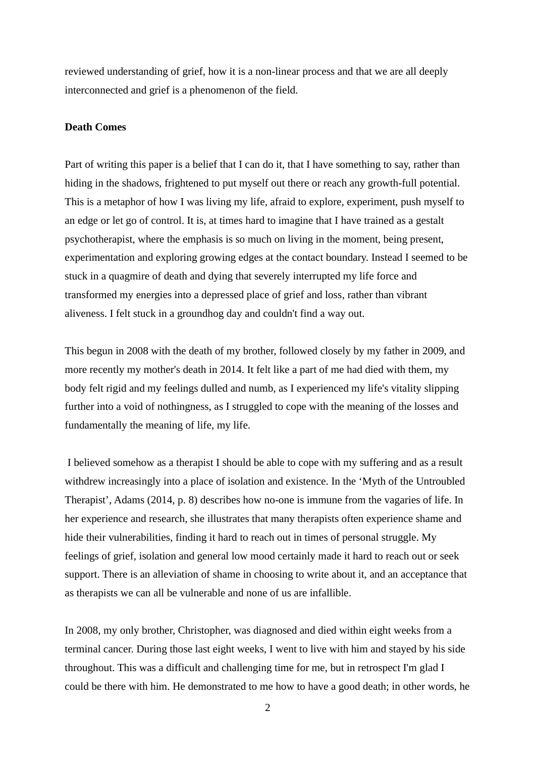reviewed understanding of grief, how it is a non-linear process and that we are all deeply interconnected and grief is a phenomenon of the field.

# **Death Comes**

Part of writing this paper is a belief that I can do it, that I have something to say, rather than hiding in the shadows, frightened to put myself out there or reach any growth-full potential. This is a metaphor of how I was living my life, afraid to explore, experiment, push myself to an edge or let go of control. It is, at times hard to imagine that I have trained as a gestalt psychotherapist, where the emphasis is so much on living in the moment, being present, experimentation and exploring growing edges at the contact boundary. Instead I seemed to be stuck in a quagmire of death and dying that severely interrupted my life force and transformed my energies into a depressed place of grief and loss, rather than vibrant aliveness. I felt stuck in a groundhog day and couldn't find a way out.

This begun in 2008 with the death of my brother, followed closely by my father in 2009, and more recently my mother's death in 2014. It felt like a part of me had died with them, my body felt rigid and my feelings dulled and numb, as I experienced my life's vitality slipping further into a void of nothingness, as I struggled to cope with the meaning of the losses and fundamentally the meaning of life, my life.

 I believed somehow as a therapist I should be able to cope with my suffering and as a result withdrew increasingly into a place of isolation and existence. In the 'Myth of the Untroubled Therapist', Adams (2014, p. 8) describes how no-one is immune from the vagaries of life. In her experience and research, she illustrates that many therapists often experience shame and hide their vulnerabilities, finding it hard to reach out in times of personal struggle. My feelings of grief, isolation and general low mood certainly made it hard to reach out or seek support. There is an alleviation of shame in choosing to write about it, and an acceptance that as therapists we can all be vulnerable and none of us are infallible.

In 2008, my only brother, Christopher, was diagnosed and died within eight weeks from a terminal cancer. During those last eight weeks, I went to live with him and stayed by his side throughout. This was a difficult and challenging time for me, but in retrospect I'm glad I could be there with him. He demonstrated to me how to have a good death; in other words, he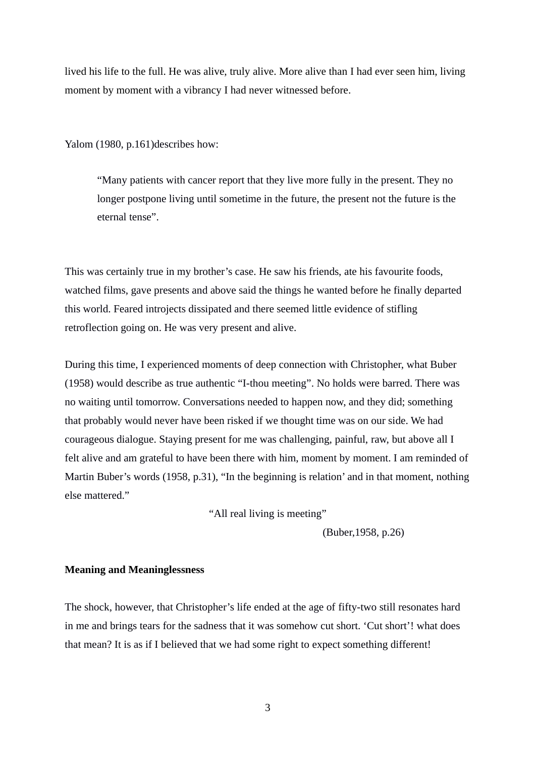lived his life to the full. He was alive, truly alive. More alive than I had ever seen him, living moment by moment with a vibrancy I had never witnessed before.

Yalom (1980, p.161)describes how:

"Many patients with cancer report that they live more fully in the present. They no longer postpone living until sometime in the future, the present not the future is the eternal tense".

This was certainly true in my brother's case. He saw his friends, ate his favourite foods, watched films, gave presents and above said the things he wanted before he finally departed this world. Feared introjects dissipated and there seemed little evidence of stifling retroflection going on. He was very present and alive.

During this time, I experienced moments of deep connection with Christopher, what Buber (1958) would describe as true authentic "I-thou meeting". No holds were barred. There was no waiting until tomorrow. Conversations needed to happen now, and they did; something that probably would never have been risked if we thought time was on our side. We had courageous dialogue. Staying present for me was challenging, painful, raw, but above all I felt alive and am grateful to have been there with him, moment by moment. I am reminded of Martin Buber's words (1958, p.31), "In the beginning is relation' and in that moment, nothing else mattered."

"All real living is meeting"

(Buber,1958, p.26)

# **Meaning and Meaninglessness**

The shock, however, that Christopher's life ended at the age of fifty-two still resonates hard in me and brings tears for the sadness that it was somehow cut short. 'Cut short'! what does that mean? It is as if I believed that we had some right to expect something different!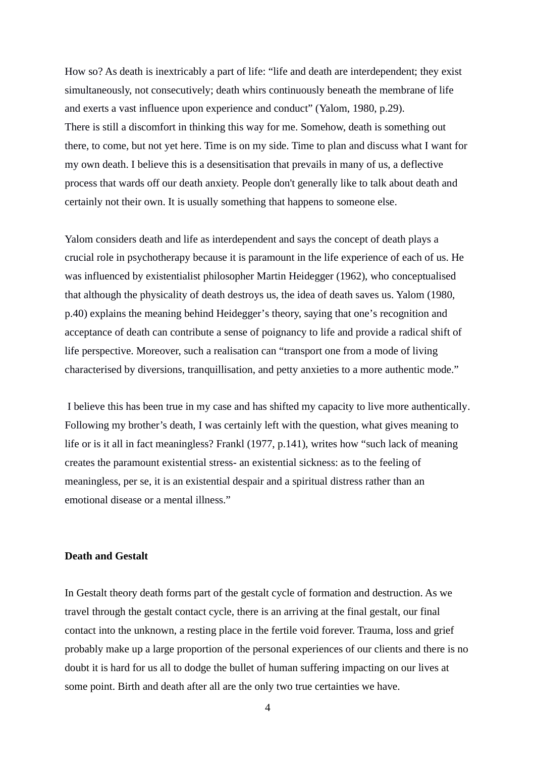How so? As death is inextricably a part of life: "life and death are interdependent; they exist simultaneously, not consecutively; death whirs continuously beneath the membrane of life and exerts a vast influence upon experience and conduct" (Yalom, 1980, p.29). There is still a discomfort in thinking this way for me. Somehow, death is something out there, to come, but not yet here. Time is on my side. Time to plan and discuss what I want for my own death. I believe this is a desensitisation that prevails in many of us, a deflective process that wards off our death anxiety. People don't generally like to talk about death and certainly not their own. It is usually something that happens to someone else.

Yalom considers death and life as interdependent and says the concept of death plays a crucial role in psychotherapy because it is paramount in the life experience of each of us. He was influenced by existentialist philosopher Martin Heidegger (1962), who conceptualised that although the physicality of death destroys us, the idea of death saves us. Yalom (1980, p.40) explains the meaning behind Heidegger's theory, saying that one's recognition and acceptance of death can contribute a sense of poignancy to life and provide a radical shift of life perspective. Moreover, such a realisation can "transport one from a mode of living characterised by diversions, tranquillisation, and petty anxieties to a more authentic mode."

 I believe this has been true in my case and has shifted my capacity to live more authentically. Following my brother's death, I was certainly left with the question, what gives meaning to life or is it all in fact meaningless? Frankl (1977, p.141), writes how "such lack of meaning creates the paramount existential stress- an existential sickness: as to the feeling of meaningless, per se, it is an existential despair and a spiritual distress rather than an emotional disease or a mental illness."

### **Death and Gestalt**

In Gestalt theory death forms part of the gestalt cycle of formation and destruction. As we travel through the gestalt contact cycle, there is an arriving at the final gestalt, our final contact into the unknown, a resting place in the fertile void forever. Trauma, loss and grief probably make up a large proportion of the personal experiences of our clients and there is no doubt it is hard for us all to dodge the bullet of human suffering impacting on our lives at some point. Birth and death after all are the only two true certainties we have.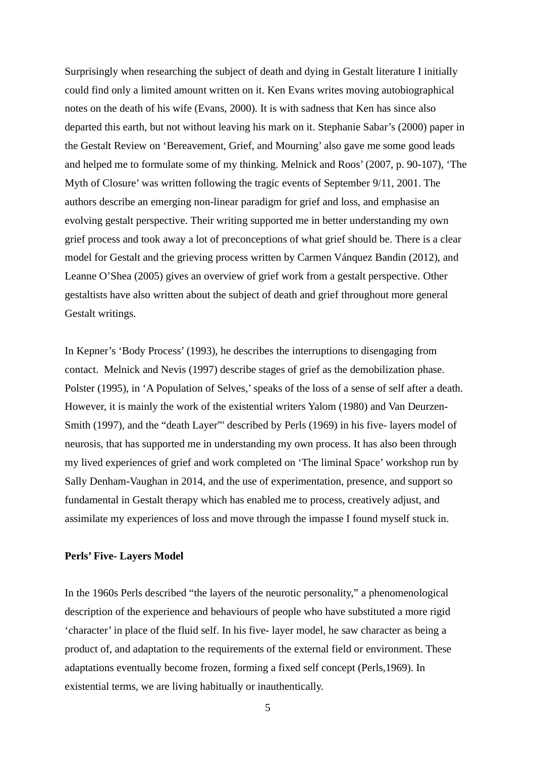Surprisingly when researching the subject of death and dying in Gestalt literature I initially could find only a limited amount written on it. Ken Evans writes moving autobiographical notes on the death of his wife (Evans, 2000). It is with sadness that Ken has since also departed this earth, but not without leaving his mark on it. Stephanie Sabar's (2000) paper in the Gestalt Review on 'Bereavement, Grief, and Mourning' also gave me some good leads and helped me to formulate some of my thinking. Melnick and Roos' (2007, p. 90-107), 'The Myth of Closure' was written following the tragic events of September 9/11, 2001. The authors describe an emerging non-linear paradigm for grief and loss, and emphasise an evolving gestalt perspective. Their writing supported me in better understanding my own grief process and took away a lot of preconceptions of what grief should be. There is a clear model for Gestalt and the grieving process written by Carmen Vánquez Bandin (2012), and Leanne O'Shea (2005) gives an overview of grief work from a gestalt perspective. Other gestaltists have also written about the subject of death and grief throughout more general Gestalt writings.

In Kepner's 'Body Process' (1993), he describes the interruptions to disengaging from contact. Melnick and Nevis (1997) describe stages of grief as the demobilization phase. Polster (1995), in 'A Population of Selves,' speaks of the loss of a sense of self after a death. However, it is mainly the work of the existential writers Yalom (1980) and Van Deurzen-Smith (1997), and the "death Layer"' described by Perls (1969) in his five- layers model of neurosis, that has supported me in understanding my own process. It has also been through my lived experiences of grief and work completed on 'The liminal Space' workshop run by Sally Denham-Vaughan in 2014, and the use of experimentation, presence, and support so fundamental in Gestalt therapy which has enabled me to process, creatively adjust, and assimilate my experiences of loss and move through the impasse I found myself stuck in.

### **Perls' Five- Layers Model**

In the 1960s Perls described "the layers of the neurotic personality," a phenomenological description of the experience and behaviours of people who have substituted a more rigid 'character' in place of the fluid self. In his five- layer model, he saw character as being a product of, and adaptation to the requirements of the external field or environment. These adaptations eventually become frozen, forming a fixed self concept (Perls,1969). In existential terms, we are living habitually or inauthentically.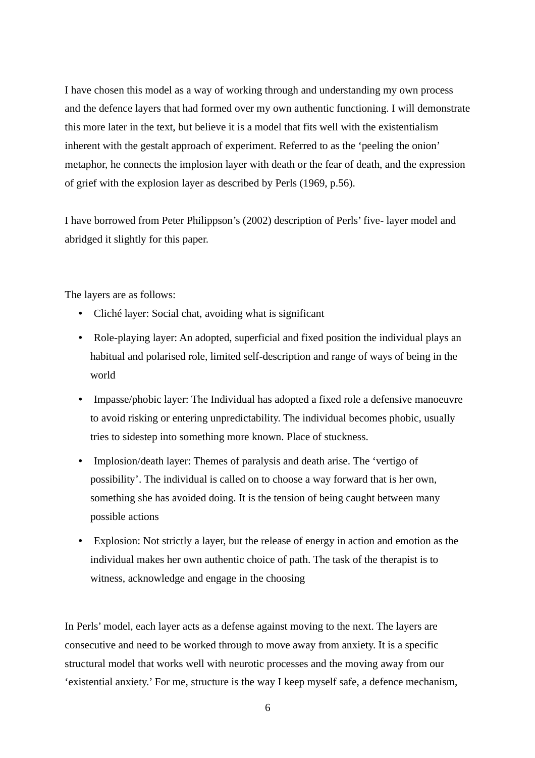I have chosen this model as a way of working through and understanding my own process and the defence layers that had formed over my own authentic functioning. I will demonstrate this more later in the text, but believe it is a model that fits well with the existentialism inherent with the gestalt approach of experiment. Referred to as the 'peeling the onion' metaphor, he connects the implosion layer with death or the fear of death, and the expression of grief with the explosion layer as described by Perls (1969, p.56).

I have borrowed from Peter Philippson's (2002) description of Perls' five- layer model and abridged it slightly for this paper.

The layers are as follows:

- Cliché layer: Social chat, avoiding what is significant
- Role-playing layer: An adopted, superficial and fixed position the individual plays an habitual and polarised role, limited self-description and range of ways of being in the world
- Impasse/phobic layer: The Individual has adopted a fixed role a defensive manoeuvre to avoid risking or entering unpredictability. The individual becomes phobic, usually tries to sidestep into something more known. Place of stuckness.
- Implosion/death layer: Themes of paralysis and death arise. The 'vertigo of possibility'. The individual is called on to choose a way forward that is her own, something she has avoided doing. It is the tension of being caught between many possible actions
- Explosion: Not strictly a layer, but the release of energy in action and emotion as the individual makes her own authentic choice of path. The task of the therapist is to witness, acknowledge and engage in the choosing

In Perls' model, each layer acts as a defense against moving to the next. The layers are consecutive and need to be worked through to move away from anxiety. It is a specific structural model that works well with neurotic processes and the moving away from our 'existential anxiety.' For me, structure is the way I keep myself safe, a defence mechanism,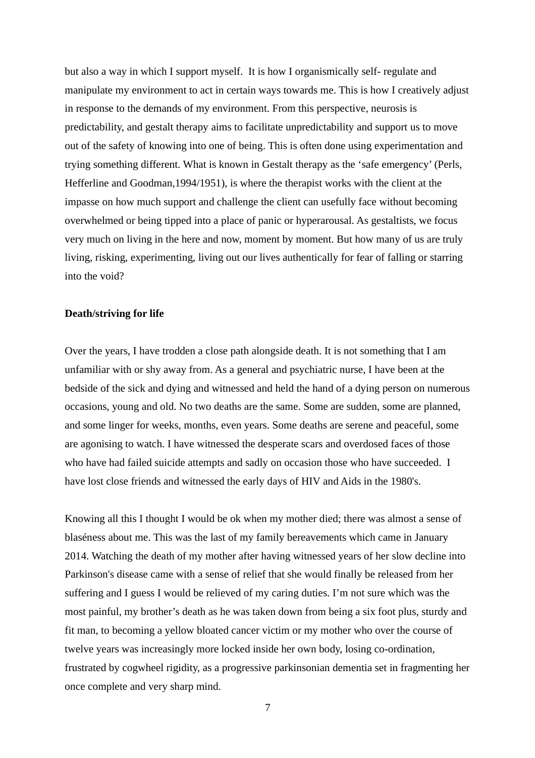but also a way in which I support myself. It is how I organismically self- regulate and manipulate my environment to act in certain ways towards me. This is how I creatively adjust in response to the demands of my environment. From this perspective, neurosis is predictability, and gestalt therapy aims to facilitate unpredictability and support us to move out of the safety of knowing into one of being. This is often done using experimentation and trying something different. What is known in Gestalt therapy as the 'safe emergency' (Perls, Hefferline and Goodman,1994/1951), is where the therapist works with the client at the impasse on how much support and challenge the client can usefully face without becoming overwhelmed or being tipped into a place of panic or hyperarousal. As gestaltists, we focus very much on living in the here and now, moment by moment. But how many of us are truly living, risking, experimenting, living out our lives authentically for fear of falling or starring into the void?

### **Death/striving for life**

Over the years, I have trodden a close path alongside death. It is not something that I am unfamiliar with or shy away from. As a general and psychiatric nurse, I have been at the bedside of the sick and dying and witnessed and held the hand of a dying person on numerous occasions, young and old. No two deaths are the same. Some are sudden, some are planned, and some linger for weeks, months, even years. Some deaths are serene and peaceful, some are agonising to watch. I have witnessed the desperate scars and overdosed faces of those who have had failed suicide attempts and sadly on occasion those who have succeeded. I have lost close friends and witnessed the early days of HIV and Aids in the 1980's.

Knowing all this I thought I would be ok when my mother died; there was almost a sense of blaséness about me. This was the last of my family bereavements which came in January 2014. Watching the death of my mother after having witnessed years of her slow decline into Parkinson's disease came with a sense of relief that she would finally be released from her suffering and I guess I would be relieved of my caring duties. I'm not sure which was the most painful, my brother's death as he was taken down from being a six foot plus, sturdy and fit man, to becoming a yellow bloated cancer victim or my mother who over the course of twelve years was increasingly more locked inside her own body, losing co-ordination, frustrated by cogwheel rigidity, as a progressive parkinsonian dementia set in fragmenting her once complete and very sharp mind.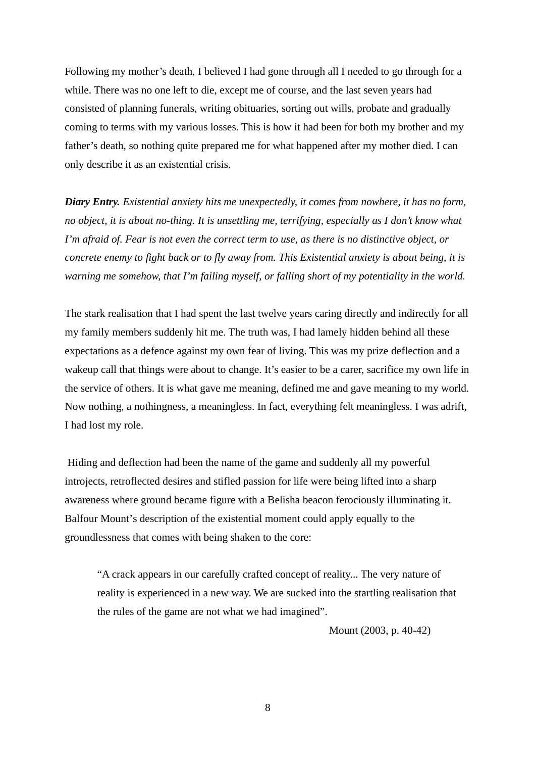Following my mother's death, I believed I had gone through all I needed to go through for a while. There was no one left to die, except me of course, and the last seven years had consisted of planning funerals, writing obituaries, sorting out wills, probate and gradually coming to terms with my various losses. This is how it had been for both my brother and my father's death, so nothing quite prepared me for what happened after my mother died. I can only describe it as an existential crisis.

*Diary Entry. Existential anxiety hits me unexpectedly, it comes from nowhere, it has no form, no object, it is about no-thing. It is unsettling me, terrifying, especially as I don't know what I'm afraid of. Fear is not even the correct term to use, as there is no distinctive object, or concrete enemy to fight back or to fly away from. This Existential anxiety is about being, it is warning me somehow, that I'm failing myself, or falling short of my potentiality in the world.*

The stark realisation that I had spent the last twelve years caring directly and indirectly for all my family members suddenly hit me. The truth was, I had lamely hidden behind all these expectations as a defence against my own fear of living. This was my prize deflection and a wakeup call that things were about to change. It's easier to be a carer, sacrifice my own life in the service of others. It is what gave me meaning, defined me and gave meaning to my world. Now nothing, a nothingness, a meaningless. In fact, everything felt meaningless. I was adrift, I had lost my role.

 Hiding and deflection had been the name of the game and suddenly all my powerful introjects, retroflected desires and stifled passion for life were being lifted into a sharp awareness where ground became figure with a Belisha beacon ferociously illuminating it. Balfour Mount's description of the existential moment could apply equally to the groundlessness that comes with being shaken to the core:

"A crack appears in our carefully crafted concept of reality... The very nature of reality is experienced in a new way. We are sucked into the startling realisation that the rules of the game are not what we had imagined".

Mount (2003, p. 40-42)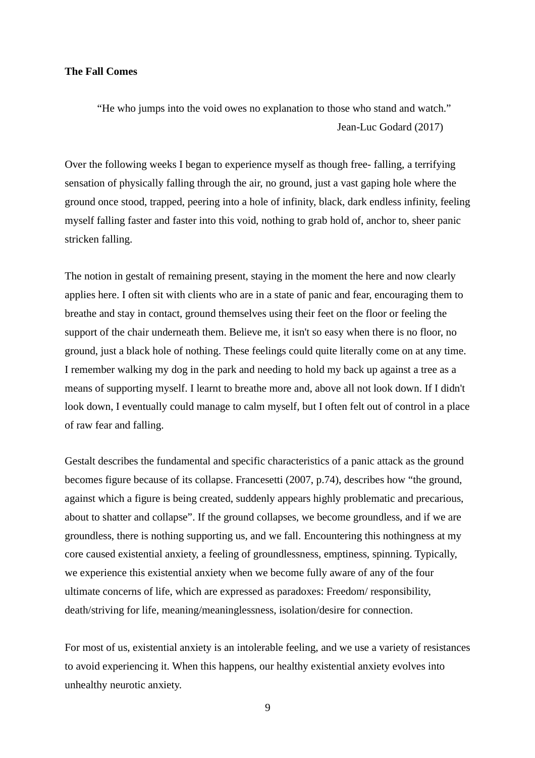### **The Fall Comes**

"He who jumps into the void owes no explanation to those who stand and watch." Jean-Luc Godard (2017)

Over the following weeks I began to experience myself as though free- falling, a terrifying sensation of physically falling through the air, no ground, just a vast gaping hole where the ground once stood, trapped, peering into a hole of infinity, black, dark endless infinity, feeling myself falling faster and faster into this void, nothing to grab hold of, anchor to, sheer panic stricken falling.

The notion in gestalt of remaining present, staying in the moment the here and now clearly applies here. I often sit with clients who are in a state of panic and fear, encouraging them to breathe and stay in contact, ground themselves using their feet on the floor or feeling the support of the chair underneath them. Believe me, it isn't so easy when there is no floor, no ground, just a black hole of nothing. These feelings could quite literally come on at any time. I remember walking my dog in the park and needing to hold my back up against a tree as a means of supporting myself. I learnt to breathe more and, above all not look down. If I didn't look down, I eventually could manage to calm myself, but I often felt out of control in a place of raw fear and falling.

Gestalt describes the fundamental and specific characteristics of a panic attack as the ground becomes figure because of its collapse. Francesetti (2007, p.74), describes how "the ground, against which a figure is being created, suddenly appears highly problematic and precarious, about to shatter and collapse". If the ground collapses, we become groundless, and if we are groundless, there is nothing supporting us, and we fall. Encountering this nothingness at my core caused existential anxiety, a feeling of groundlessness, emptiness, spinning. Typically, we experience this existential anxiety when we become fully aware of any of the four ultimate concerns of life, which are expressed as paradoxes: Freedom/ responsibility, death/striving for life, meaning/meaninglessness, isolation/desire for connection.

For most of us, existential anxiety is an intolerable feeling, and we use a variety of resistances to avoid experiencing it. When this happens, our healthy existential anxiety evolves into unhealthy neurotic anxiety.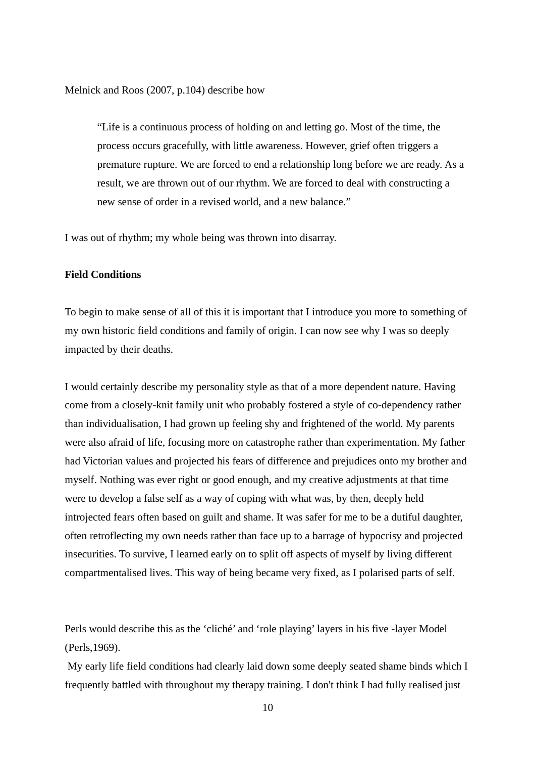Melnick and Roos (2007, p.104) describe how

"Life is a continuous process of holding on and letting go. Most of the time, the process occurs gracefully, with little awareness. However, grief often triggers a premature rupture. We are forced to end a relationship long before we are ready. As a result, we are thrown out of our rhythm. We are forced to deal with constructing a new sense of order in a revised world, and a new balance."

I was out of rhythm; my whole being was thrown into disarray.

# **Field Conditions**

To begin to make sense of all of this it is important that I introduce you more to something of my own historic field conditions and family of origin. I can now see why I was so deeply impacted by their deaths.

I would certainly describe my personality style as that of a more dependent nature. Having come from a closely-knit family unit who probably fostered a style of co-dependency rather than individualisation, I had grown up feeling shy and frightened of the world. My parents were also afraid of life, focusing more on catastrophe rather than experimentation. My father had Victorian values and projected his fears of difference and prejudices onto my brother and myself. Nothing was ever right or good enough, and my creative adjustments at that time were to develop a false self as a way of coping with what was, by then, deeply held introjected fears often based on guilt and shame. It was safer for me to be a dutiful daughter, often retroflecting my own needs rather than face up to a barrage of hypocrisy and projected insecurities. To survive, I learned early on to split off aspects of myself by living different compartmentalised lives. This way of being became very fixed, as I polarised parts of self.

Perls would describe this as the 'cliché' and 'role playing' layers in his five -layer Model (Perls,1969).

My early life field conditions had clearly laid down some deeply seated shame binds which I frequently battled with throughout my therapy training. I don't think I had fully realised just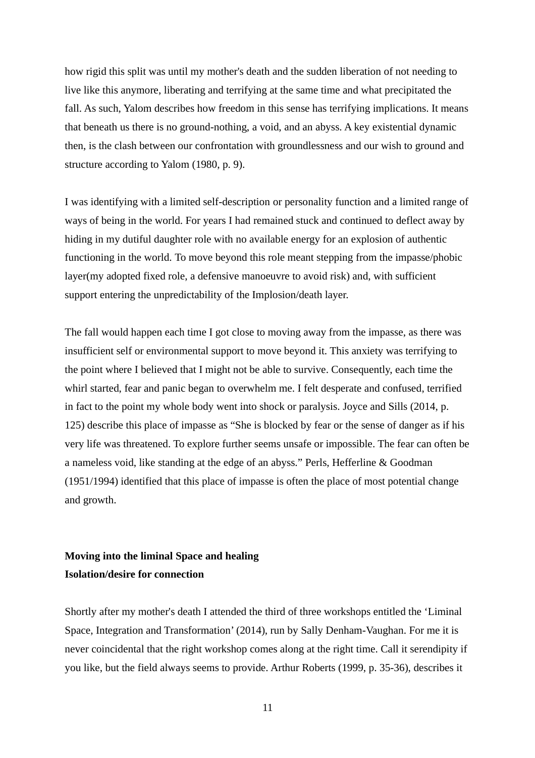how rigid this split was until my mother's death and the sudden liberation of not needing to live like this anymore, liberating and terrifying at the same time and what precipitated the fall. As such, Yalom describes how freedom in this sense has terrifying implications. It means that beneath us there is no ground-nothing, a void, and an abyss. A key existential dynamic then, is the clash between our confrontation with groundlessness and our wish to ground and structure according to Yalom (1980, p. 9).

I was identifying with a limited self-description or personality function and a limited range of ways of being in the world. For years I had remained stuck and continued to deflect away by hiding in my dutiful daughter role with no available energy for an explosion of authentic functioning in the world. To move beyond this role meant stepping from the impasse/phobic layer(my adopted fixed role, a defensive manoeuvre to avoid risk) and, with sufficient support entering the unpredictability of the Implosion/death layer.

The fall would happen each time I got close to moving away from the impasse, as there was insufficient self or environmental support to move beyond it. This anxiety was terrifying to the point where I believed that I might not be able to survive. Consequently, each time the whirl started, fear and panic began to overwhelm me. I felt desperate and confused, terrified in fact to the point my whole body went into shock or paralysis. Joyce and Sills (2014, p. 125) describe this place of impasse as "She is blocked by fear or the sense of danger as if his very life was threatened. To explore further seems unsafe or impossible. The fear can often be a nameless void, like standing at the edge of an abyss." Perls, Hefferline & Goodman (1951/1994) identified that this place of impasse is often the place of most potential change and growth.

# **Moving into the liminal Space and healing Isolation/desire for connection**

Shortly after my mother's death I attended the third of three workshops entitled the 'Liminal Space, Integration and Transformation' (2014), run by Sally Denham-Vaughan. For me it is never coincidental that the right workshop comes along at the right time. Call it serendipity if you like, but the field always seems to provide. Arthur Roberts (1999, p. 35-36), describes it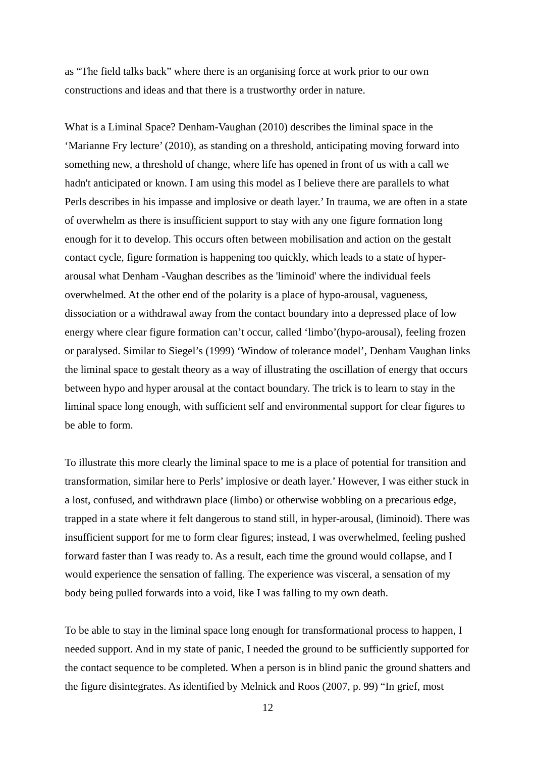as "The field talks back" where there is an organising force at work prior to our own constructions and ideas and that there is a trustworthy order in nature.

What is a Liminal Space? Denham-Vaughan (2010) describes the liminal space in the 'Marianne Fry lecture' (2010), as standing on a threshold, anticipating moving forward into something new, a threshold of change, where life has opened in front of us with a call we hadn't anticipated or known. I am using this model as I believe there are parallels to what Perls describes in his impasse and implosive or death layer.' In trauma, we are often in a state of overwhelm as there is insufficient support to stay with any one figure formation long enough for it to develop. This occurs often between mobilisation and action on the gestalt contact cycle, figure formation is happening too quickly, which leads to a state of hyperarousal what Denham -Vaughan describes as the 'liminoid' where the individual feels overwhelmed. At the other end of the polarity is a place of hypo-arousal, vagueness, dissociation or a withdrawal away from the contact boundary into a depressed place of low energy where clear figure formation can't occur, called 'limbo'(hypo-arousal), feeling frozen or paralysed. Similar to Siegel's (1999) 'Window of tolerance model', Denham Vaughan links the liminal space to gestalt theory as a way of illustrating the oscillation of energy that occurs between hypo and hyper arousal at the contact boundary. The trick is to learn to stay in the liminal space long enough, with sufficient self and environmental support for clear figures to be able to form.

To illustrate this more clearly the liminal space to me is a place of potential for transition and transformation, similar here to Perls' implosive or death layer.' However, I was either stuck in a lost, confused, and withdrawn place (limbo) or otherwise wobbling on a precarious edge, trapped in a state where it felt dangerous to stand still, in hyper-arousal, (liminoid). There was insufficient support for me to form clear figures; instead, I was overwhelmed, feeling pushed forward faster than I was ready to. As a result, each time the ground would collapse, and I would experience the sensation of falling. The experience was visceral, a sensation of my body being pulled forwards into a void, like I was falling to my own death.

To be able to stay in the liminal space long enough for transformational process to happen, I needed support. And in my state of panic, I needed the ground to be sufficiently supported for the contact sequence to be completed. When a person is in blind panic the ground shatters and the figure disintegrates. As identified by Melnick and Roos (2007, p. 99) "In grief, most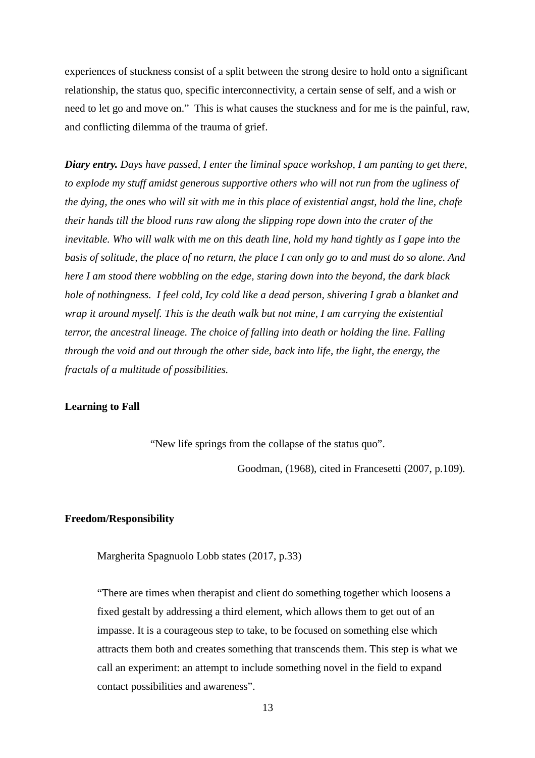experiences of stuckness consist of a split between the strong desire to hold onto a significant relationship, the status quo, specific interconnectivity, a certain sense of self, and a wish or need to let go and move on." This is what causes the stuckness and for me is the painful, raw, and conflicting dilemma of the trauma of grief.

*Diary entry. Days have passed, I enter the liminal space workshop, I am panting to get there, to explode my stuff amidst generous supportive others who will not run from the ugliness of the dying, the ones who will sit with me in this place of existential angst, hold the line, chafe their hands till the blood runs raw along the slipping rope down into the crater of the inevitable. Who will walk with me on this death line, hold my hand tightly as I gape into the basis of solitude, the place of no return, the place I can only go to and must do so alone. And here I am stood there wobbling on the edge, staring down into the beyond, the dark black hole of nothingness. I feel cold, Icy cold like a dead person, shivering I grab a blanket and wrap it around myself. This is the death walk but not mine, I am carrying the existential terror, the ancestral lineage. The choice of falling into death or holding the line. Falling through the void and out through the other side, back into life, the light, the energy, the fractals of a multitude of possibilities.* 

### **Learning to Fall**

"New life springs from the collapse of the status quo".

Goodman, (1968), cited in Francesetti (2007, p.109).

# **Freedom/Responsibility**

Margherita Spagnuolo Lobb states (2017, p.33)

"There are times when therapist and client do something together which loosens a fixed gestalt by addressing a third element, which allows them to get out of an impasse. It is a courageous step to take, to be focused on something else which attracts them both and creates something that transcends them. This step is what we call an experiment: an attempt to include something novel in the field to expand contact possibilities and awareness".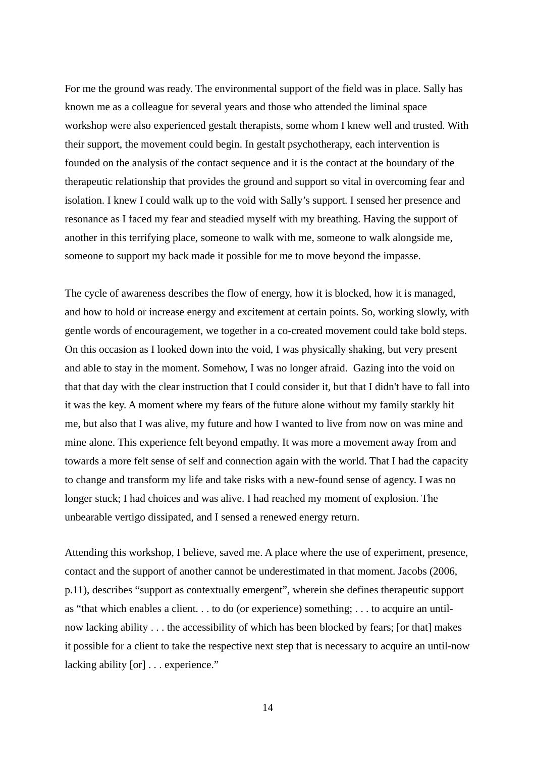For me the ground was ready. The environmental support of the field was in place. Sally has known me as a colleague for several years and those who attended the liminal space workshop were also experienced gestalt therapists, some whom I knew well and trusted. With their support, the movement could begin. In gestalt psychotherapy, each intervention is founded on the analysis of the contact sequence and it is the contact at the boundary of the therapeutic relationship that provides the ground and support so vital in overcoming fear and isolation. I knew I could walk up to the void with Sally's support. I sensed her presence and resonance as I faced my fear and steadied myself with my breathing. Having the support of another in this terrifying place, someone to walk with me, someone to walk alongside me, someone to support my back made it possible for me to move beyond the impasse.

The cycle of awareness describes the flow of energy, how it is blocked, how it is managed, and how to hold or increase energy and excitement at certain points. So, working slowly, with gentle words of encouragement, we together in a co-created movement could take bold steps. On this occasion as I looked down into the void, I was physically shaking, but very present and able to stay in the moment. Somehow, I was no longer afraid. Gazing into the void on that that day with the clear instruction that I could consider it, but that I didn't have to fall into it was the key. A moment where my fears of the future alone without my family starkly hit me, but also that I was alive, my future and how I wanted to live from now on was mine and mine alone. This experience felt beyond empathy. It was more a movement away from and towards a more felt sense of self and connection again with the world. That I had the capacity to change and transform my life and take risks with a new-found sense of agency. I was no longer stuck; I had choices and was alive. I had reached my moment of explosion. The unbearable vertigo dissipated, and I sensed a renewed energy return.

Attending this workshop, I believe, saved me. A place where the use of experiment, presence, contact and the support of another cannot be underestimated in that moment. Jacobs (2006, p.11), describes "support as contextually emergent", wherein she defines therapeutic support as "that which enables a client. . . to do (or experience) something; . . . to acquire an untilnow lacking ability . . . the accessibility of which has been blocked by fears; [or that] makes it possible for a client to take the respective next step that is necessary to acquire an until-now lacking ability [or] . . . experience."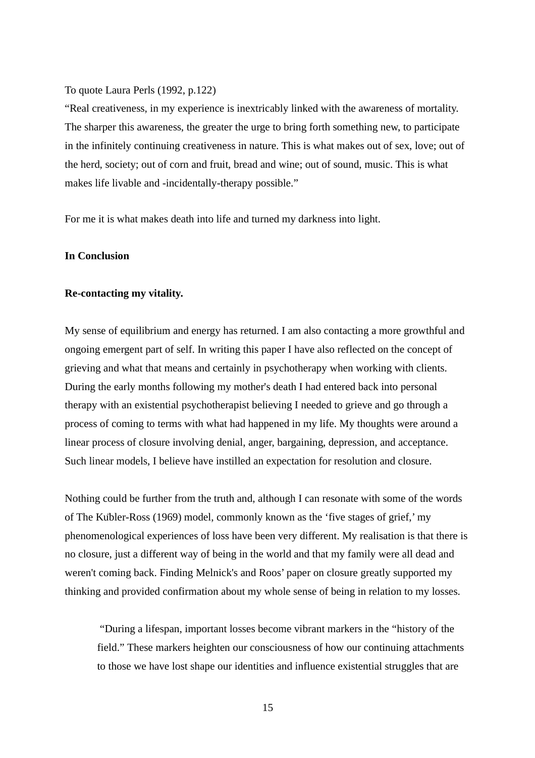### To quote Laura Perls (1992, p.122)

"Real creativeness, in my experience is inextricably linked with the awareness of mortality. The sharper this awareness, the greater the urge to bring forth something new, to participate in the infinitely continuing creativeness in nature. This is what makes out of sex, love; out of the herd, society; out of corn and fruit, bread and wine; out of sound, music. This is what makes life livable and -incidentally-therapy possible."

For me it is what makes death into life and turned my darkness into light.

# **In Conclusion**

### **Re-contacting my vitality.**

My sense of equilibrium and energy has returned. I am also contacting a more growthful and ongoing emergent part of self. In writing this paper I have also reflected on the concept of grieving and what that means and certainly in psychotherapy when working with clients. During the early months following my mother's death I had entered back into personal therapy with an existential psychotherapist believing I needed to grieve and go through a process of coming to terms with what had happened in my life. My thoughts were around a linear process of closure involving denial, anger, bargaining, depression, and acceptance. Such linear models, I believe have instilled an expectation for resolution and closure.

Nothing could be further from the truth and, although I can resonate with some of the words of The Kübler-Ross (1969) model, commonly known as the 'five stages of grief,' my phenomenological experiences of loss have been very different. My realisation is that there is no closure, just a different way of being in the world and that my family were all dead and weren't coming back. Finding Melnick's and Roos' paper on closure greatly supported my thinking and provided confirmation about my whole sense of being in relation to my losses.

 "During a lifespan, important losses become vibrant markers in the "history of the field." These markers heighten our consciousness of how our continuing attachments to those we have lost shape our identities and influence existential struggles that are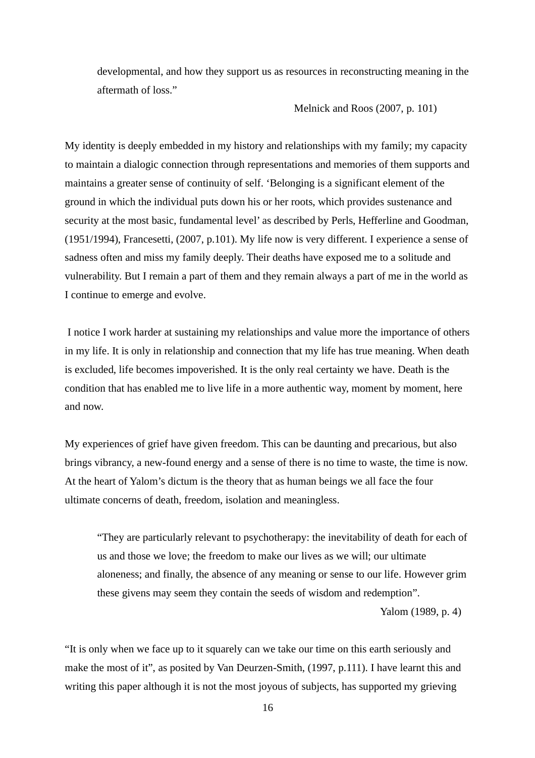developmental, and how they support us as resources in reconstructing meaning in the aftermath of loss."

Melnick and Roos (2007, p. 101)

My identity is deeply embedded in my history and relationships with my family; my capacity to maintain a dialogic connection through representations and memories of them supports and maintains a greater sense of continuity of self. 'Belonging is a significant element of the ground in which the individual puts down his or her roots, which provides sustenance and security at the most basic, fundamental level' as described by Perls, Hefferline and Goodman, (1951/1994), Francesetti, (2007, p.101). My life now is very different. I experience a sense of sadness often and miss my family deeply. Their deaths have exposed me to a solitude and vulnerability. But I remain a part of them and they remain always a part of me in the world as I continue to emerge and evolve.

 I notice I work harder at sustaining my relationships and value more the importance of others in my life. It is only in relationship and connection that my life has true meaning. When death is excluded, life becomes impoverished. It is the only real certainty we have. Death is the condition that has enabled me to live life in a more authentic way, moment by moment, here and now.

My experiences of grief have given freedom. This can be daunting and precarious, but also brings vibrancy, a new-found energy and a sense of there is no time to waste, the time is now. At the heart of Yalom's dictum is the theory that as human beings we all face the four ultimate concerns of death, freedom, isolation and meaningless.

"They are particularly relevant to psychotherapy: the inevitability of death for each of us and those we love; the freedom to make our lives as we will; our ultimate aloneness; and finally, the absence of any meaning or sense to our life. However grim these givens may seem they contain the seeds of wisdom and redemption".

Yalom (1989, p. 4)

"It is only when we face up to it squarely can we take our time on this earth seriously and make the most of it", as posited by Van Deurzen-Smith, (1997, p.111). I have learnt this and writing this paper although it is not the most joyous of subjects, has supported my grieving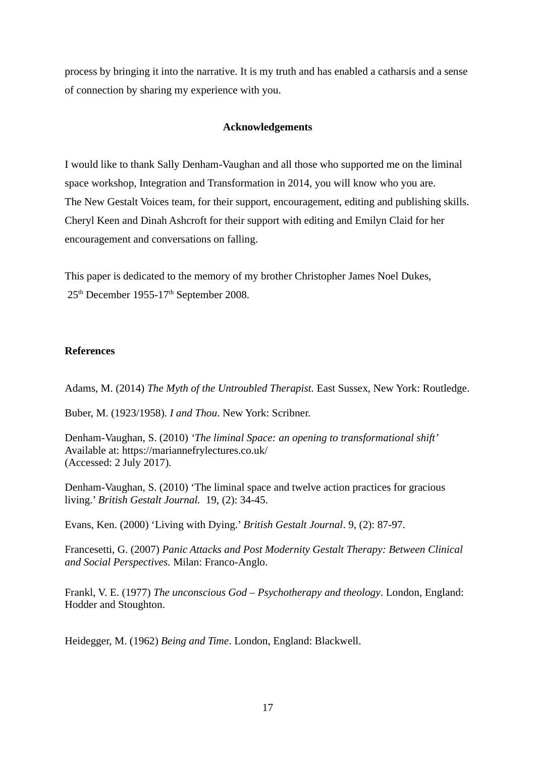process by bringing it into the narrative. It is my truth and has enabled a catharsis and a sense of connection by sharing my experience with you.

# **Acknowledgements**

I would like to thank Sally Denham-Vaughan and all those who supported me on the liminal space workshop, Integration and Transformation in 2014, you will know who you are. The New Gestalt Voices team, for their support, encouragement, editing and publishing skills. Cheryl Keen and Dinah Ashcroft for their support with editing and Emilyn Claid for her encouragement and conversations on falling.

This paper is dedicated to the memory of my brother Christopher James Noel Dukes, 25<sup>th</sup> December 1955-17<sup>th</sup> September 2008.

# **References**

Adams, M. (2014) *The Myth of the Untroubled Therapist.* East Sussex, New York: Routledge.

Buber, M. (1923/1958). *I and Thou*. New York: Scribner.

Denham-Vaughan, S. (2010) *'The liminal Space: an opening to transformational shift'* Available at: https://mariannefrylectures.co.uk/ (Accessed: 2 July 2017).

Denham-Vaughan, S. (2010) 'The liminal space and twelve action practices for gracious living.' *British Gestalt Journal.* 19, (2): 34-45.

Evans, Ken. (2000) 'Living with Dying.' *British Gestalt Journal*. 9, (2): 87-97.

Francesetti, G. (2007) *Panic Attacks and Post Modernity Gestalt Therapy: Between Clinical and Social Perspectives.* Milan: Franco-Anglo.

Frankl, V. E. (1977) *The unconscious God – Psychotherapy and theology*. London, England: Hodder and Stoughton.

Heidegger, M. (1962) *Being and Time*. London, England: Blackwell.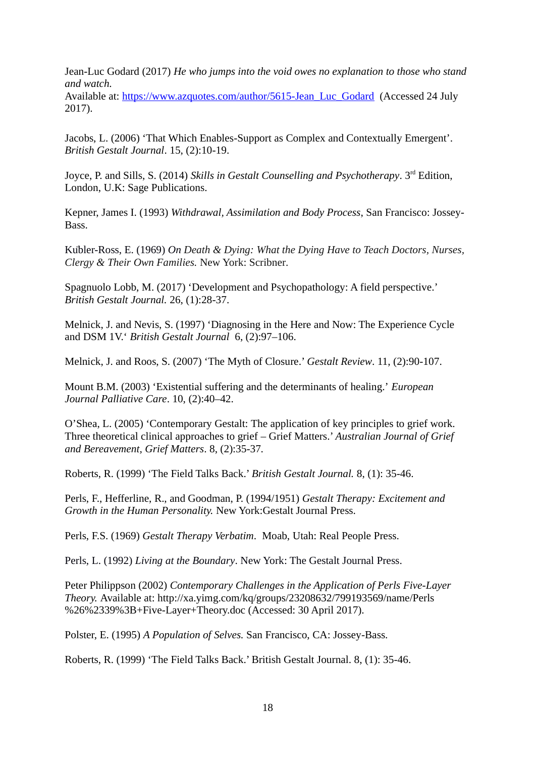Jean-Luc Godard (2017) *He who jumps into the void owes no explanation to those who stand and watch.*

Available at: [https://www.azquotes.com/author/5615-Jean\\_Luc\\_Godard](https://www.azquotes.com/author/5615-Jean_Luc_Godard) (Accessed 24 July 2017).

Jacobs, L. (2006) 'That Which Enables-Support as Complex and Contextually Emergent'. *British Gestalt Journal*. 15, (2):10-19.

Joyce, P. and Sills, S. (2014) *Skills in Gestalt Counselling and Psychotherapy*. 3rd Edition, London, U.K: Sage Publications.

Kepner, James I. (1993) *Withdrawal, Assimilation and Body Process*, San Francisco: Jossey-Bass.

Kübler-Ross, E. (1969) *On Death & Dying: What the Dying Have to Teach Doctors, Nurses, Clergy & Their Own Families.* New York: Scribner*.*

Spagnuolo Lobb, M. (2017) 'Development and Psychopathology: A field perspective.' *British Gestalt Journal.* 26, (1):28-37.

Melnick, J. and Nevis, S. (1997) 'Diagnosing in the Here and Now: The Experience Cycle and DSM 1V.' *British Gestalt Journal* 6, (2):97–106.

Melnick, J. and Roos, S. (2007) 'The Myth of Closure.' *Gestalt Review*. 11, (2):90-107.

Mount B.M. (2003) 'Existential suffering and the determinants of healing.' *European Journal Palliative Care*. 10, (2):40–42.

O'Shea, L. (2005) 'Contemporary Gestalt: The application of key principles to grief work. Three theoretical clinical approaches to grief – Grief Matters.' *Australian Journal of Grief and Bereavement, Grief Matters*. 8, (2):35-37*.*

Roberts, R. (1999) 'The Field Talks Back.' *British Gestalt Journal.* 8, (1): 35-46.

Perls, F., Hefferline, R., and Goodman, P. (1994/1951) *Gestalt Therapy: Excitement and Growth in the Human Personality.* New York:Gestalt Journal Press.

Perls, F.S. (1969) *Gestalt Therapy Verbatim.* Moab, Utah: Real People Press.

Perls, L. (1992) *Living at the Boundary*. New York: The Gestalt Journal Press.

Peter Philippson (2002) *Contemporary Challenges in the Application of Perls Five-Layer Theory.* Available at: http://xa.yimg.com/kq/groups/23208632/799193569/name/Perls %26%2339%3B+Five-Layer+Theory.doc (Accessed: 30 April 2017).

Polster, E. (1995) *A Population of Selves.* San Francisco, CA: Jossey-Bass.

Roberts, R. (1999) 'The Field Talks Back.' British Gestalt Journal. 8, (1): 35-46.